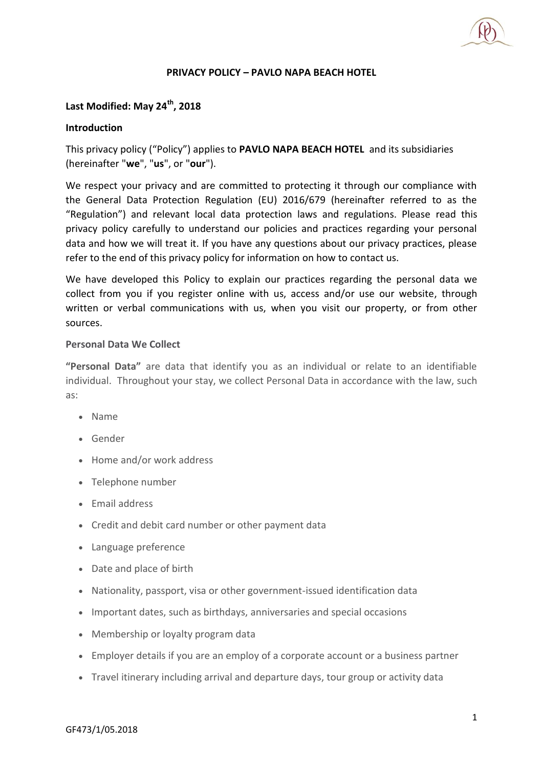## **PRIVACY POLICY – PAVLO NAPA BEACH HOTEL**

# **Last Modified: May 24th, 2018**

### **Introduction**

This privacy policy ("Policy") applies to **PAVLO NAPA BEACH HOTEL** and its subsidiaries (hereinafter "**we**", "**us**", or "**our**").

We respect your privacy and are committed to protecting it through our compliance with the General Data Protection Regulation (EU) 2016/679 (hereinafter referred to as the "Regulation") and relevant local data protection laws and regulations. Please read this privacy policy carefully to understand our policies and practices regarding your personal data and how we will treat it. If you have any questions about our privacy practices, please refer to the end of this privacy policy for information on how to contact us.

We have developed this Policy to explain our practices regarding the personal data we collect from you if you register online with us, access and/or use our website, through written or verbal communications with us, when you visit our property, or from other sources.

### **Personal Data We Collect**

**"Personal Data"** are data that identify you as an individual or relate to an identifiable individual. Throughout your stay, we collect Personal Data in accordance with the law, such as:

- Name
- Gender
- Home and/or work address
- Telephone number
- Email address
- Credit and debit card number or other payment data
- Language preference
- Date and place of birth
- Nationality, passport, visa or other government-issued identification data
- Important dates, such as birthdays, anniversaries and special occasions
- Membership or loyalty program data
- Employer details if you are an employ of a corporate account or a business partner
- Travel itinerary including arrival and departure days, tour group or activity data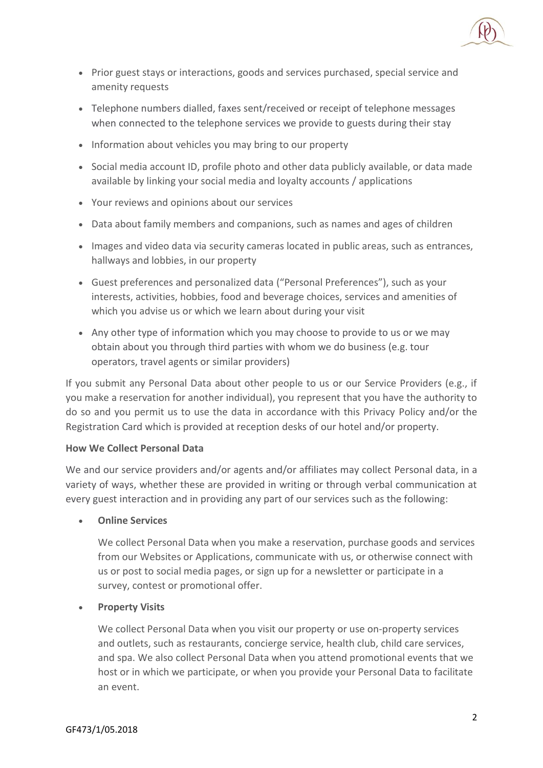

- Prior guest stays or interactions, goods and services purchased, special service and amenity requests
- Telephone numbers dialled, faxes sent/received or receipt of telephone messages when connected to the telephone services we provide to guests during their stay
- Information about vehicles you may bring to our property
- Social media account ID, profile photo and other data publicly available, or data made available by linking your social media and loyalty accounts / applications
- Your reviews and opinions about our services
- Data about family members and companions, such as names and ages of children
- Images and video data via security cameras located in public areas, such as entrances, hallways and lobbies, in our property
- Guest preferences and personalized data ("Personal Preferences"), such as your interests, activities, hobbies, food and beverage choices, services and amenities of which you advise us or which we learn about during your visit
- Any other type of information which you may choose to provide to us or we may obtain about you through third parties with whom we do business (e.g. tour operators, travel agents or similar providers)

If you submit any Personal Data about other people to us or our Service Providers (e.g., if you make a reservation for another individual), you represent that you have the authority to do so and you permit us to use the data in accordance with this Privacy Policy and/or the Registration Card which is provided at reception desks of our hotel and/or property.

# **How We Collect Personal Data**

We and our service providers and/or agents and/or affiliates may collect Personal data, in a variety of ways, whether these are provided in writing or through verbal communication at every guest interaction and in providing any part of our services such as the following:

**Online Services**

We collect Personal Data when you make a reservation, purchase goods and services from our Websites or Applications, communicate with us, or otherwise connect with us or post to social media pages, or sign up for a newsletter or participate in a survey, contest or promotional offer.

# **Property Visits**

We collect Personal Data when you visit our property or use on-property services and outlets, such as restaurants, concierge service, health club, child care services, and spa. We also collect Personal Data when you attend promotional events that we host or in which we participate, or when you provide your Personal Data to facilitate an event.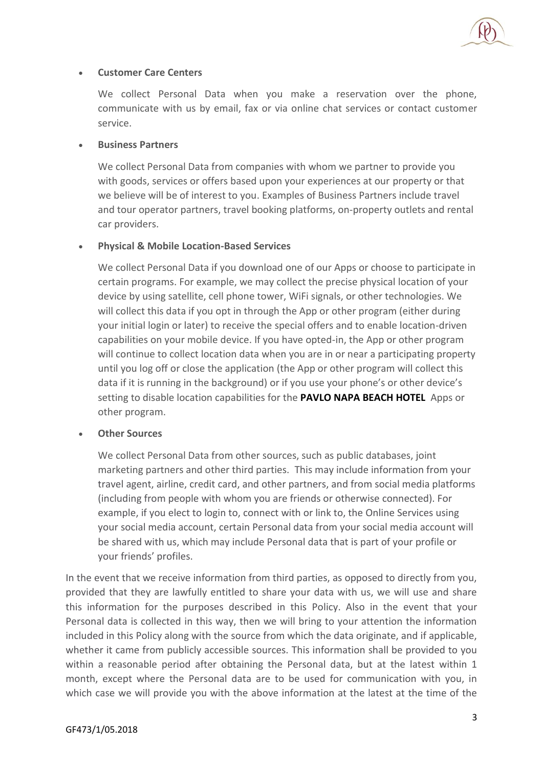

## **Customer Care Centers**

We collect Personal Data when you make a reservation over the phone, communicate with us by email, fax or via online chat services or contact customer service.

## **Business Partners**

We collect Personal Data from companies with whom we partner to provide you with goods, services or offers based upon your experiences at our property or that we believe will be of interest to you. Examples of Business Partners include travel and tour operator partners, travel booking platforms, on-property outlets and rental car providers.

# **Physical & Mobile Location-Based Services**

We collect Personal Data if you download one of our Apps or choose to participate in certain programs. For example, we may collect the precise physical location of your device by using satellite, cell phone tower, WiFi signals, or other technologies. We will collect this data if you opt in through the App or other program (either during your initial login or later) to receive the special offers and to enable location-driven capabilities on your mobile device. If you have opted-in, the App or other program will continue to collect location data when you are in or near a participating property until you log off or close the application (the App or other program will collect this data if it is running in the background) or if you use your phone's or other device's setting to disable location capabilities for the **PAVLO NAPA BEACH HOTEL** Apps or other program.

# **Other Sources**

We collect Personal Data from other sources, such as public databases, joint marketing partners and other third parties. This may include information from your travel agent, airline, credit card, and other partners, and from social media platforms (including from people with whom you are friends or otherwise connected). For example, if you elect to login to, connect with or link to, the Online Services using your social media account, certain Personal data from your social media account will be shared with us, which may include Personal data that is part of your profile or your friends' profiles.

In the event that we receive information from third parties, as opposed to directly from you, provided that they are lawfully entitled to share your data with us, we will use and share this information for the purposes described in this Policy. Also in the event that your Personal data is collected in this way, then we will bring to your attention the information included in this Policy along with the source from which the data originate, and if applicable, whether it came from publicly accessible sources. This information shall be provided to you within a reasonable period after obtaining the Personal data, but at the latest within 1 month, except where the Personal data are to be used for communication with you, in which case we will provide you with the above information at the latest at the time of the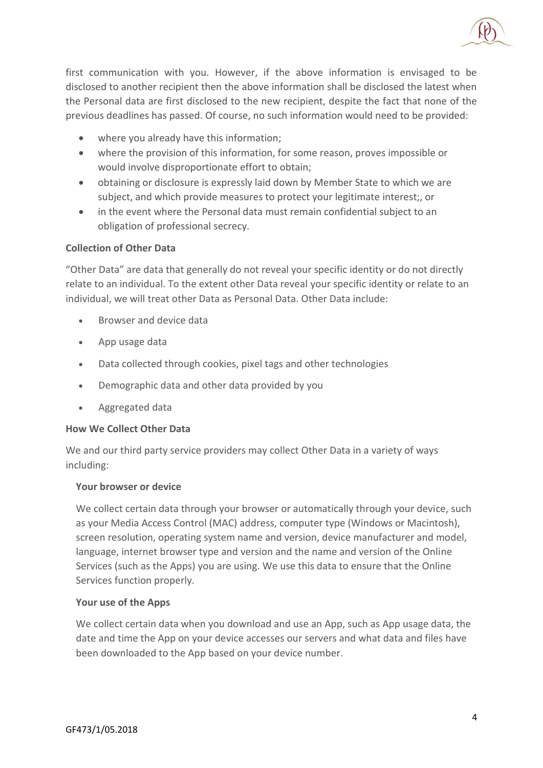

first communication with you. However, if the above information is envisaged to be disclosed to another recipient then the above information shall be disclosed the latest when the Personal data are first disclosed to the new recipient, despite the fact that none of the previous deadlines has passed. Of course, no such information would need to be provided:

- where you already have this information;
- where the provision of this information, for some reason, proves impossible or would involve disproportionate effort to obtain;
- obtaining or disclosure is expressly laid down by Member State to which we are subject, and which provide measures to protect your legitimate interest;, or
- in the event where the Personal data must remain confidential subject to an obligation of professional secrecy.

## **Collection of Other Data**

"Other Data" are data that generally do not reveal your specific identity or do not directly relate to an individual. To the extent other Data reveal your specific identity or relate to an individual, we will treat other Data as Personal Data. Other Data include:

- Browser and device data
- App usage data
- Data collected through cookies, pixel tags and other technologies
- Demographic data and other data provided by you
- Aggregated data

### **How We Collect Other Data**

We and our third party service providers may collect Other Data in a variety of ways including:

### **Your browser or device**

We collect certain data through your browser or automatically through your device, such as your Media Access Control (MAC) address, computer type (Windows or Macintosh), screen resolution, operating system name and version, device manufacturer and model, language, internet browser type and version and the name and version of the Online Services (such as the Apps) you are using. We use this data to ensure that the Online Services function properly.

### **Your use of the Apps**

We collect certain data when you download and use an App, such as App usage data, the date and time the App on your device accesses our servers and what data and files have been downloaded to the App based on your device number.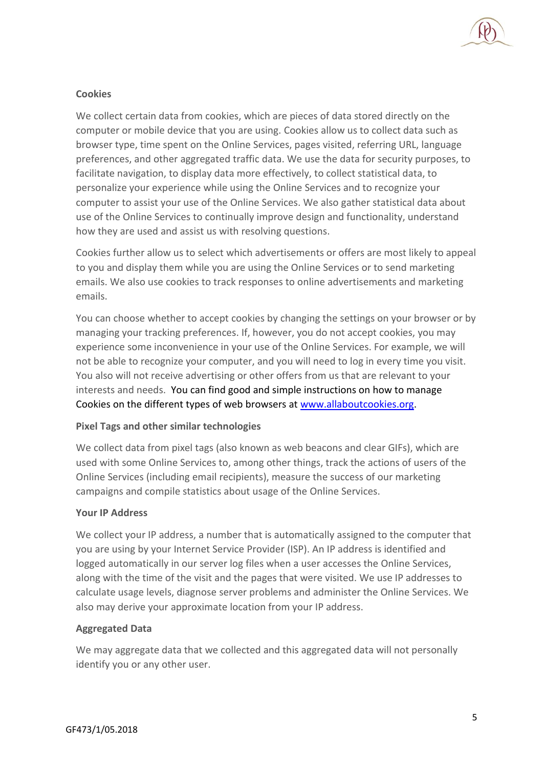

## **Cookies**

We collect certain data from cookies, which are pieces of data stored directly on the computer or mobile device that you are using. Cookies allow us to collect data such as browser type, time spent on the Online Services, pages visited, referring URL, language preferences, and other aggregated traffic data. We use the data for security purposes, to facilitate navigation, to display data more effectively, to collect statistical data, to personalize your experience while using the Online Services and to recognize your computer to assist your use of the Online Services. We also gather statistical data about use of the Online Services to continually improve design and functionality, understand how they are used and assist us with resolving questions.

Cookies further allow us to select which advertisements or offers are most likely to appeal to you and display them while you are using the Online Services or to send marketing emails. We also use cookies to track responses to online advertisements and marketing emails.

You can choose whether to accept cookies by changing the settings on your browser or by managing your tracking preferences. If, however, you do not accept cookies, you may experience some inconvenience in your use of the Online Services. For example, we will not be able to recognize your computer, and you will need to log in every time you visit. You also will not receive advertising or other offers from us that are relevant to your interests and needs. You can find good and simple instructions on how to manage Cookies on the different types of web browsers at [www.allaboutcookies.org.](http://www.allaboutcookies.org/)

# **Pixel Tags and other similar technologies**

We collect data from pixel tags (also known as web beacons and clear GIFs), which are used with some Online Services to, among other things, track the actions of users of the Online Services (including email recipients), measure the success of our marketing campaigns and compile statistics about usage of the Online Services.

### **Your IP Address**

We collect your IP address, a number that is automatically assigned to the computer that you are using by your Internet Service Provider (ISP). An IP address is identified and logged automatically in our server log files when a user accesses the Online Services, along with the time of the visit and the pages that were visited. We use IP addresses to calculate usage levels, diagnose server problems and administer the Online Services. We also may derive your approximate location from your IP address.

# **Aggregated Data**

We may aggregate data that we collected and this aggregated data will not personally identify you or any other user.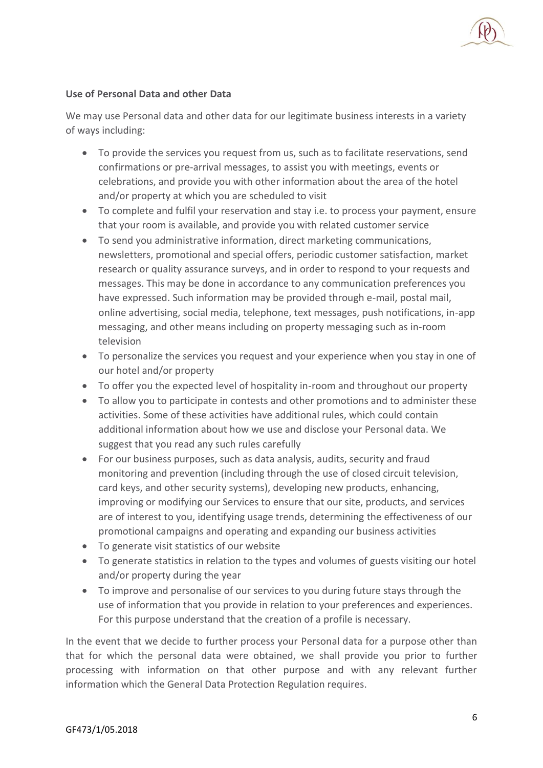## **Use of Personal Data and other Data**

We may use Personal data and other data for our legitimate business interests in a variety of ways including:

- To provide the services you request from us, such as to facilitate reservations, send confirmations or pre-arrival messages, to assist you with meetings, events or celebrations, and provide you with other information about the area of the hotel and/or property at which you are scheduled to visit
- To complete and fulfil your reservation and stay i.e. to process your payment, ensure that your room is available, and provide you with related customer service
- To send you administrative information, direct marketing communications, newsletters, promotional and special offers, periodic customer satisfaction, market research or quality assurance surveys, and in order to respond to your requests and messages. This may be done in accordance to any communication preferences you have expressed. Such information may be provided through e-mail, postal mail, online advertising, social media, telephone, text messages, push notifications, in-app messaging, and other means including on property messaging such as in-room television
- To personalize the services you request and your experience when you stay in one of our hotel and/or property
- To offer you the expected level of hospitality in-room and throughout our property
- To allow you to participate in contests and other promotions and to administer these activities. Some of these activities have additional rules, which could contain additional information about how we use and disclose your Personal data. We suggest that you read any such rules carefully
- For our business purposes, such as data analysis, audits, security and fraud monitoring and prevention (including through the use of closed circuit television, card keys, and other security systems), developing new products, enhancing, improving or modifying our Services to ensure that our site, products, and services are of interest to you, identifying usage trends, determining the effectiveness of our promotional campaigns and operating and expanding our business activities
- To generate visit statistics of our website
- To generate statistics in relation to the types and volumes of guests visiting our hotel and/or property during the year
- To improve and personalise of our services to you during future stays through the use of information that you provide in relation to your preferences and experiences. For this purpose understand that the creation of a profile is necessary.

In the event that we decide to further process your Personal data for a purpose other than that for which the personal data were obtained, we shall provide you prior to further processing with information on that other purpose and with any relevant further information which the General Data Protection Regulation requires.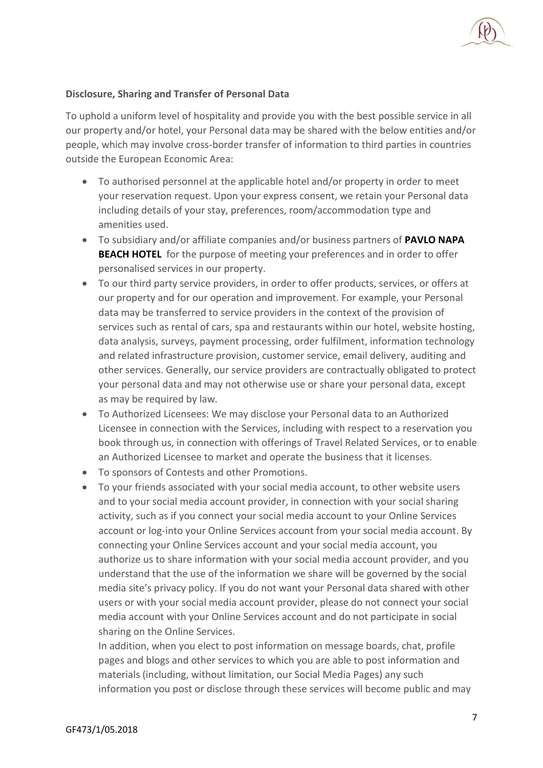## **Disclosure, Sharing and Transfer of Personal Data**

To uphold a uniform level of hospitality and provide you with the best possible service in all our property and/or hotel, your Personal data may be shared with the below entities and/or people, which may involve cross-border transfer of information to third parties in countries outside the European Economic Area:

- To authorised personnel at the applicable hotel and/or property in order to meet your reservation request. Upon your express consent, we retain your Personal data including details of your stay, preferences, room/accommodation type and amenities used.
- To subsidiary and/or affiliate companies and/or business partners of **PAVLO NAPA BEACH HOTEL** for the purpose of meeting your preferences and in order to offer personalised services in our property.
- To our third party service providers, in order to offer products, services, or offers at our property and for our operation and improvement. For example, your Personal data may be transferred to service providers in the context of the provision of services such as rental of cars, spa and restaurants within our hotel, website hosting, data analysis, surveys, payment processing, order fulfilment, information technology and related infrastructure provision, customer service, email delivery, auditing and other services. Generally, our service providers are contractually obligated to protect your personal data and may not otherwise use or share your personal data, except as may be required by law.
- To Authorized Licensees: We may disclose your Personal data to an Authorized Licensee in connection with the Services, including with respect to a reservation you book through us, in connection with offerings of Travel Related Services, or to enable an Authorized Licensee to market and operate the business that it licenses.
- To sponsors of Contests and other Promotions.
- To your friends associated with your social media account, to other website users and to your social media account provider, in connection with your social sharing activity, such as if you connect your social media account to your Online Services account or log-into your Online Services account from your social media account. By connecting your Online Services account and your social media account, you authorize us to share information with your social media account provider, and you understand that the use of the information we share will be governed by the social media site's privacy policy. If you do not want your Personal data shared with other users or with your social media account provider, please do not connect your social media account with your Online Services account and do not participate in social sharing on the Online Services.

In addition, when you elect to post information on message boards, chat, profile pages and blogs and other services to which you are able to post information and materials (including, without limitation, our Social Media Pages) any such information you post or disclose through these services will become public and may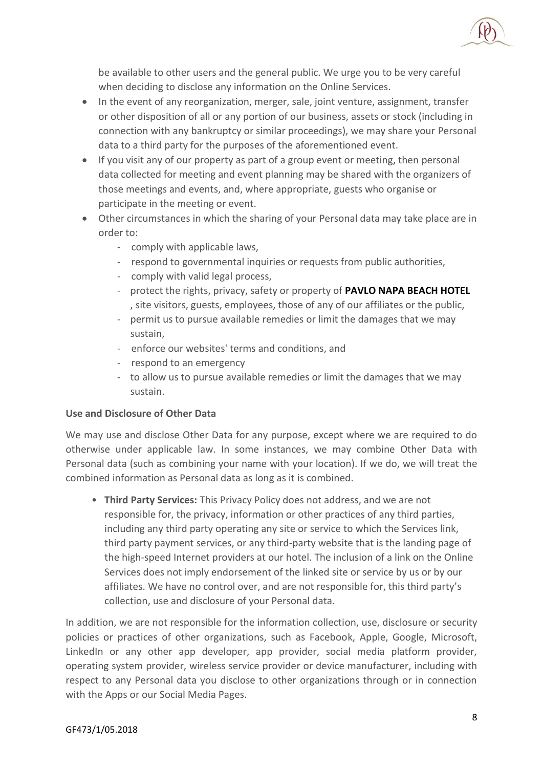

be available to other users and the general public. We urge you to be very careful when deciding to disclose any information on the Online Services.

- In the event of any reorganization, merger, sale, joint venture, assignment, transfer or other disposition of all or any portion of our business, assets or stock (including in connection with any bankruptcy or similar proceedings), we may share your Personal data to a third party for the purposes of the aforementioned event.
- If you visit any of our property as part of a group event or meeting, then personal data collected for meeting and event planning may be shared with the organizers of those meetings and events, and, where appropriate, guests who organise or participate in the meeting or event.
- Other circumstances in which the sharing of your Personal data may take place are in order to:
	- comply with applicable laws,
	- respond to governmental inquiries or requests from public authorities,
	- comply with valid legal process,
	- protect the rights, privacy, safety or property of **PAVLO NAPA BEACH HOTEL** , site visitors, guests, employees, those of any of our affiliates or the public,
	- permit us to pursue available remedies or limit the damages that we may sustain,
	- enforce our websites' terms and conditions, and
	- respond to an emergency
	- to allow us to pursue available remedies or limit the damages that we may sustain.

# **Use and Disclosure of Other Data**

We may use and disclose Other Data for any purpose, except where we are required to do otherwise under applicable law. In some instances, we may combine Other Data with Personal data (such as combining your name with your location). If we do, we will treat the combined information as Personal data as long as it is combined.

• **Third Party Services:** This Privacy Policy does not address, and we are not responsible for, the privacy, information or other practices of any third parties, including any third party operating any site or service to which the Services link, third party payment services, or any third-party website that is the landing page of the high-speed Internet providers at our hotel. The inclusion of a link on the Online Services does not imply endorsement of the linked site or service by us or by our affiliates. We have no control over, and are not responsible for, this third party's collection, use and disclosure of your Personal data.

In addition, we are not responsible for the information collection, use, disclosure or security policies or practices of other organizations, such as Facebook, Apple, Google, Microsoft, LinkedIn or any other app developer, app provider, social media platform provider, operating system provider, wireless service provider or device manufacturer, including with respect to any Personal data you disclose to other organizations through or in connection with the Apps or our Social Media Pages.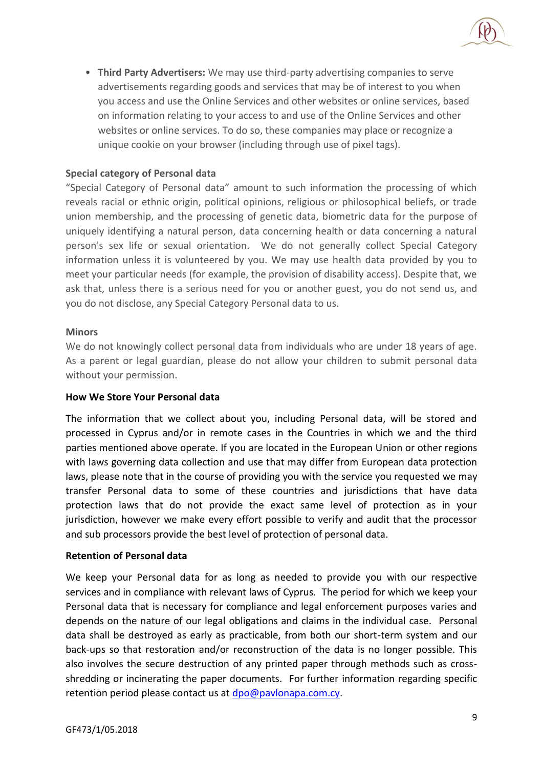• **Third Party Advertisers:** We may use third-party advertising companies to serve advertisements regarding goods and services that may be of interest to you when you access and use the Online Services and other websites or online services, based on information relating to your access to and use of the Online Services and other websites or online services. To do so, these companies may place or recognize a unique cookie on your browser (including through use of pixel tags).

## **Special category of Personal data**

"Special Category of Personal data" amount to such information the processing of which reveals racial or ethnic origin, political opinions, religious or philosophical beliefs, or trade union membership, and the processing of genetic data, biometric data for the purpose of uniquely identifying a natural person, data concerning health or data concerning a natural person's sex life or sexual orientation. We do not generally collect Special Category information unless it is volunteered by you. We may use health data provided by you to meet your particular needs (for example, the provision of disability access). Despite that, we ask that, unless there is a serious need for you or another guest, you do not send us, and you do not disclose, any Special Category Personal data to us.

### **Minors**

We do not knowingly collect personal data from individuals who are under 18 years of age. As a parent or legal guardian, please do not allow your children to submit personal data without your permission.

### **How We Store Your Personal data**

The information that we collect about you, including Personal data, will be stored and processed in Cyprus and/or in remote cases in the Countries in which we and the third parties mentioned above operate. If you are located in the European Union or other regions with laws governing data collection and use that may differ from European data protection laws, please note that in the course of providing you with the service you requested we may transfer Personal data to some of these countries and jurisdictions that have data protection laws that do not provide the exact same level of protection as in your jurisdiction, however we make every effort possible to verify and audit that the processor and sub processors provide the best level of protection of personal data.

### **Retention of Personal data**

We keep your Personal data for as long as needed to provide you with our respective services and in compliance with relevant laws of Cyprus. The period for which we keep your Personal data that is necessary for compliance and legal enforcement purposes varies and depends on the nature of our legal obligations and claims in the individual case. Personal data shall be destroyed as early as practicable, from both our short-term system and our back-ups so that restoration and/or reconstruction of the data is no longer possible. This also involves the secure destruction of any printed paper through methods such as crossshredding or incinerating the paper documents. For further information regarding specific retention period please contact us a[t dpo@pavlonapa.com.cy.](mailto:dpo@pavlonapa.com.cy)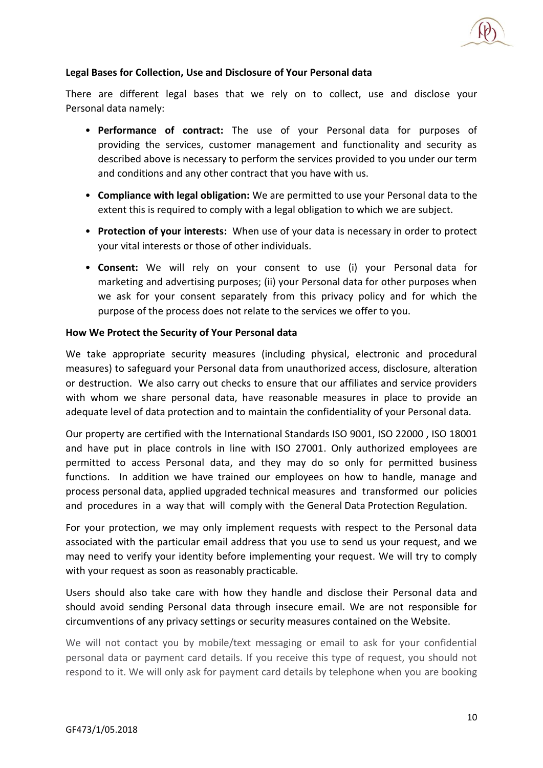

### **Legal Bases for Collection, Use and Disclosure of Your Personal data**

There are different legal bases that we rely on to collect, use and disclose your Personal data namely:

- **Performance of contract:** The use of your Personal data for purposes of providing the services, customer management and functionality and security as described above is necessary to perform the services provided to you under our term and conditions and any other contract that you have with us.
- **Compliance with legal obligation:** We are permitted to use your Personal data to the extent this is required to comply with a legal obligation to which we are subject.
- **Protection of your interests:** When use of your data is necessary in order to protect your vital interests or those of other individuals.
- **Consent:** We will rely on your consent to use (i) your Personal data for marketing and advertising purposes; (ii) your Personal data for other purposes when we ask for your consent separately from this privacy policy and for which the purpose of the process does not relate to the services we offer to you.

### **How We Protect the Security of Your Personal data**

We take appropriate security measures (including physical, electronic and procedural measures) to safeguard your Personal data from unauthorized access, disclosure, alteration or destruction. We also carry out checks to ensure that our affiliates and service providers with whom we share personal data, have reasonable measures in place to provide an adequate level of data protection and to maintain the confidentiality of your Personal data.

Our property are certified with the International Standards ISO 9001, ISO 22000 , ISO 18001 and have put in place controls in line with ISO 27001. Only authorized employees are permitted to access Personal data, and they may do so only for permitted business functions. In addition we have trained our employees on how to handle, manage and process personal data, applied upgraded technical measures and transformed our policies and procedures in a way that will comply with the General Data Protection Regulation.

For your protection, we may only implement requests with respect to the Personal data associated with the particular email address that you use to send us your request, and we may need to verify your identity before implementing your request. We will try to comply with your request as soon as reasonably practicable.

Users should also take care with how they handle and disclose their Personal data and should avoid sending Personal data through insecure email. We are not responsible for circumventions of any privacy settings or security measures contained on the Website.

We will not contact you by mobile/text messaging or email to ask for your confidential personal data or payment card details. If you receive this type of request, you should not respond to it. We will only ask for payment card details by telephone when you are booking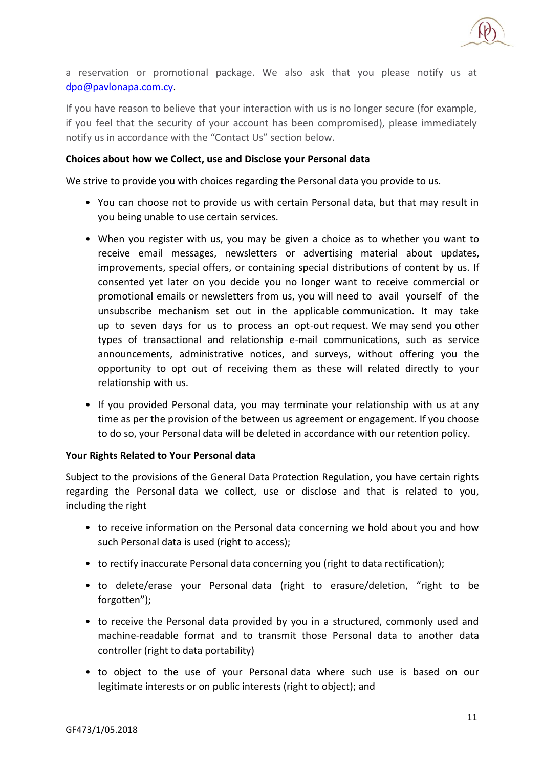

a reservation or promotional package. We also ask that you please notify us at [dpo@pavlonapa.com.cy.](mailto:dpo@pavlonapa.com.cy)

If you have reason to believe that your interaction with us is no longer secure (for example, if you feel that the security of your account has been compromised), please immediately notify us in accordance with the "Contact Us" section below.

### **Choices about how we Collect, use and Disclose your Personal data**

We strive to provide you with choices regarding the Personal data you provide to us.

- You can choose not to provide us with certain Personal data, but that may result in you being unable to use certain services.
- When you register with us, you may be given a choice as to whether you want to receive email messages, newsletters or advertising material about updates, improvements, special offers, or containing special distributions of content by us. If consented yet later on you decide you no longer want to receive commercial or promotional emails or newsletters from us, you will need to avail yourself of the unsubscribe mechanism set out in the applicable communication. It may take up to seven days for us to process an opt-out request. We may send you other types of transactional and relationship e-mail communications, such as service announcements, administrative notices, and surveys, without offering you the opportunity to opt out of receiving them as these will related directly to your relationship with us.
- If you provided Personal data, you may terminate your relationship with us at any time as per the provision of the between us agreement or engagement. If you choose to do so, your Personal data will be deleted in accordance with our retention policy.

### **Your Rights Related to Your Personal data**

Subject to the provisions of the General Data Protection Regulation, you have certain rights regarding the Personal data we collect, use or disclose and that is related to you, including the right

- to receive information on the Personal data concerning we hold about you and how such Personal data is used (right to access);
- to rectify inaccurate Personal data concerning you (right to data rectification);
- to delete/erase your Personal data (right to erasure/deletion, "right to be forgotten");
- to receive the Personal data provided by you in a structured, commonly used and machine-readable format and to transmit those Personal data to another data controller (right to data portability)
- to object to the use of your Personal data where such use is based on our legitimate interests or on public interests (right to object); and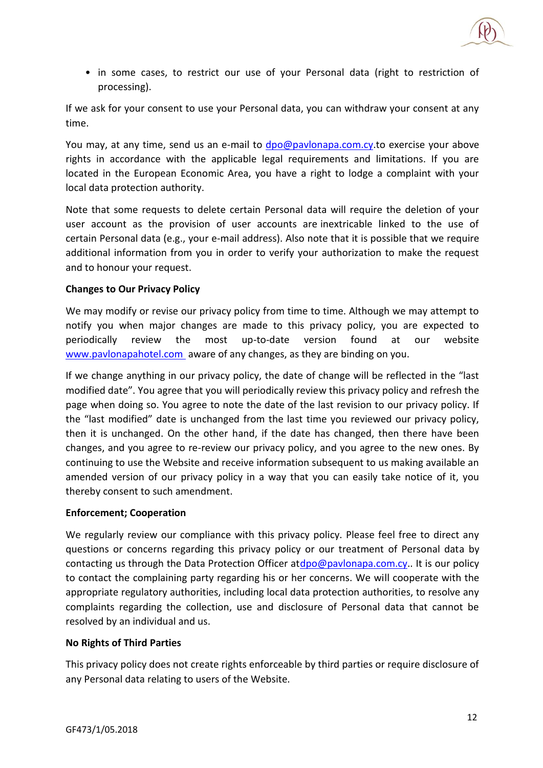

• in some cases, to restrict our use of your Personal data (right to restriction of processing).

If we ask for your consent to use your Personal data, you can withdraw your consent at any time.

You may, at any time, send us an e-mail to dpo@paylonapa.com.cy.to exercise your above rights in accordance with the applicable legal requirements and limitations. If you are located in the European Economic Area, you have a right to lodge a complaint with your local data protection authority.

Note that some requests to delete certain Personal data will require the deletion of your user account as the provision of user accounts are inextricable linked to the use of certain Personal data (e.g., your e-mail address). Also note that it is possible that we require additional information from you in order to verify your authorization to make the request and to honour your request.

## **Changes to Our Privacy Policy**

We may modify or revise our privacy policy from time to time. Although we may attempt to notify you when major changes are made to this privacy policy, you are expected to periodically review the most up-to-date version found at our website [www.pavlonapahotel.com](http://www.pavlonapahotel.com/) aware of any changes, as they are binding on you.

If we change anything in our privacy policy, the date of change will be reflected in the "last modified date". You agree that you will periodically review this privacy policy and refresh the page when doing so. You agree to note the date of the last revision to our privacy policy. If the "last modified" date is unchanged from the last time you reviewed our privacy policy, then it is unchanged. On the other hand, if the date has changed, then there have been changes, and you agree to re-review our privacy policy, and you agree to the new ones. By continuing to use the Website and receive information subsequent to us making available an amended version of our privacy policy in a way that you can easily take notice of it, you thereby consent to such amendment.

### **Enforcement; Cooperation**

We regularly review our compliance with this privacy policy. Please feel free to direct any questions or concerns regarding this privacy policy or our treatment of Personal data by contacting us through the Data Protection Officer a[tdpo@pavlonapa.com.cy.](mailto:dpo@pavlonapa.com.cy). It is our policy to contact the complaining party regarding his or her concerns. We will cooperate with the appropriate regulatory authorities, including local data protection authorities, to resolve any complaints regarding the collection, use and disclosure of Personal data that cannot be resolved by an individual and us.

### **No Rights of Third Parties**

This privacy policy does not create rights enforceable by third parties or require disclosure of any Personal data relating to users of the Website.